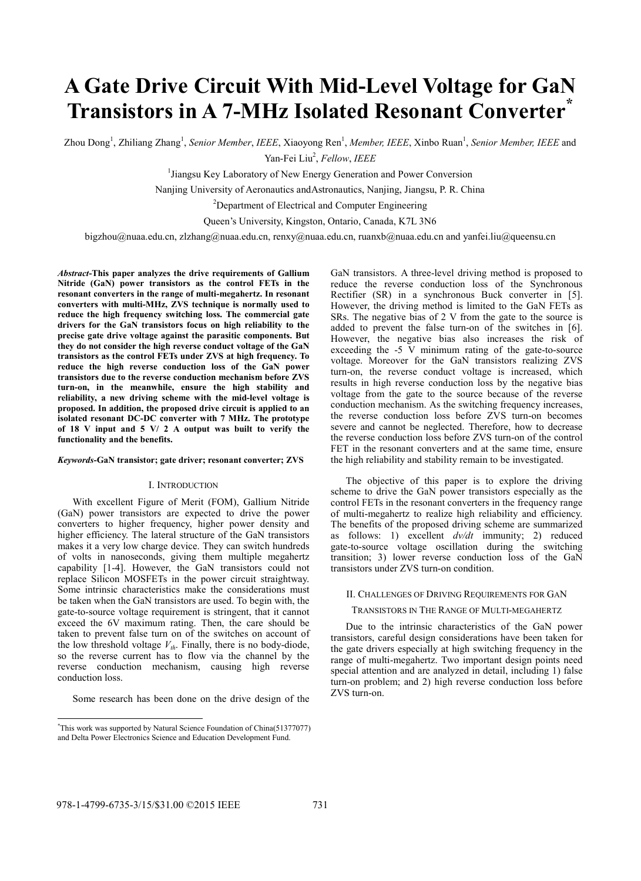# **A Gate Drive Circuit With Mid-Level Voltage for GaN Transistors in A 7-MHz Isolated Resonant Converter\***

Zhou Dong<sup>1</sup>, Zhiliang Zhang<sup>1</sup>, *Senior Member, IEEE*, Xiaoyong Ren<sup>1</sup>, *Member, IEEE*, Xinbo Ruan<sup>1</sup>, *Senior Member, IEEE* and Yan-Fei Liu2 , *Fellow*, *IEEE*

<sup>1</sup> Jiangsu Key Laboratory of New Energy Generation and Power Conversion

Nanjing University of Aeronautics andAstronautics, Nanjing, Jiangsu, P. R. China

<sup>2</sup>Department of Electrical and Computer Engineering

Queen's University, Kingston, Ontario, Canada, K7L 3N6

bigzhou@nuaa.edu.cn, zlzhang@nuaa.edu.cn, renxy@nuaa.edu.cn, ruanxb@nuaa.edu.cn and yanfei.liu@queensu.cn

*Abstract***-This paper analyzes the drive requirements of Gallium Nitride (GaN) power transistors as the control FETs in the resonant converters in the range of multi-megahertz. In resonant converters with multi-MHz, ZVS technique is normally used to reduce the high frequency switching loss. The commercial gate drivers for the GaN transistors focus on high reliability to the precise gate drive voltage against the parasitic components. But they do not consider the high reverse conduct voltage of the GaN transistors as the control FETs under ZVS at high frequency. To reduce the high reverse conduction loss of the GaN power transistors due to the reverse conduction mechanism before ZVS turn-on, in the meanwhile, ensure the high stability and reliability, a new driving scheme with the mid-level voltage is proposed. In addition, the proposed drive circuit is applied to an isolated resonant DC-DC converter with 7 MHz. The prototype of 18 V input and 5 V/ 2 A output was built to verify the functionality and the benefits.** 

#### *Keywords***-GaN transistor; gate driver; resonant converter; ZVS**

#### I. INTRODUCTION

With excellent Figure of Merit (FOM), Gallium Nitride (GaN) power transistors are expected to drive the power converters to higher frequency, higher power density and higher efficiency. The lateral structure of the GaN transistors makes it a very low charge device. They can switch hundreds of volts in nanoseconds, giving them multiple megahertz capability [1-4]. However, the GaN transistors could not replace Silicon MOSFETs in the power circuit straightway. Some intrinsic characteristics make the considerations must be taken when the GaN transistors are used. To begin with, the gate-to-source voltage requirement is stringent, that it cannot exceed the 6V maximum rating. Then, the care should be taken to prevent false turn on of the switches on account of the low threshold voltage  $V_{th}$ . Finally, there is no body-diode, so the reverse current has to flow via the channel by the reverse conduction mechanism, causing high reverse conduction loss.

Some research has been done on the drive design of the

GaN transistors. A three-level driving method is proposed to reduce the reverse conduction loss of the Synchronous Rectifier (SR) in a synchronous Buck converter in [5]. However, the driving method is limited to the GaN FETs as SRs. The negative bias of 2 V from the gate to the source is added to prevent the false turn-on of the switches in [6]. However, the negative bias also increases the risk of exceeding the -5 V minimum rating of the gate-to-source voltage. Moreover for the GaN transistors realizing ZVS turn-on, the reverse conduct voltage is increased, which results in high reverse conduction loss by the negative bias voltage from the gate to the source because of the reverse conduction mechanism. As the switching frequency increases, the reverse conduction loss before ZVS turn-on becomes severe and cannot be neglected. Therefore, how to decrease the reverse conduction loss before ZVS turn-on of the control FET in the resonant converters and at the same time, ensure the high reliability and stability remain to be investigated.

The objective of this paper is to explore the driving scheme to drive the GaN power transistors especially as the control FETs in the resonant converters in the frequency range of multi-megahertz to realize high reliability and efficiency. The benefits of the proposed driving scheme are summarized as follows: 1) excellent *dv/dt* immunity; 2) reduced gate-to-source voltage oscillation during the switching transition; 3) lower reverse conduction loss of the GaN transistors under ZVS turn-on condition.

# II. CHALLENGES OF DRIVING REQUIREMENTS FOR GAN

TRANSISTORS IN THE RANGE OF MULTI-MEGAHERTZ

Due to the intrinsic characteristics of the GaN power transistors, careful design considerations have been taken for the gate drivers especially at high switching frequency in the range of multi-megahertz. Two important design points need special attention and are analyzed in detail, including 1) false turn-on problem; and 2) high reverse conduction loss before ZVS turn-on.

 \* This work was supported by Natural Science Foundation of China(51377077) and Delta Power Electronics Science and Education Development Fund.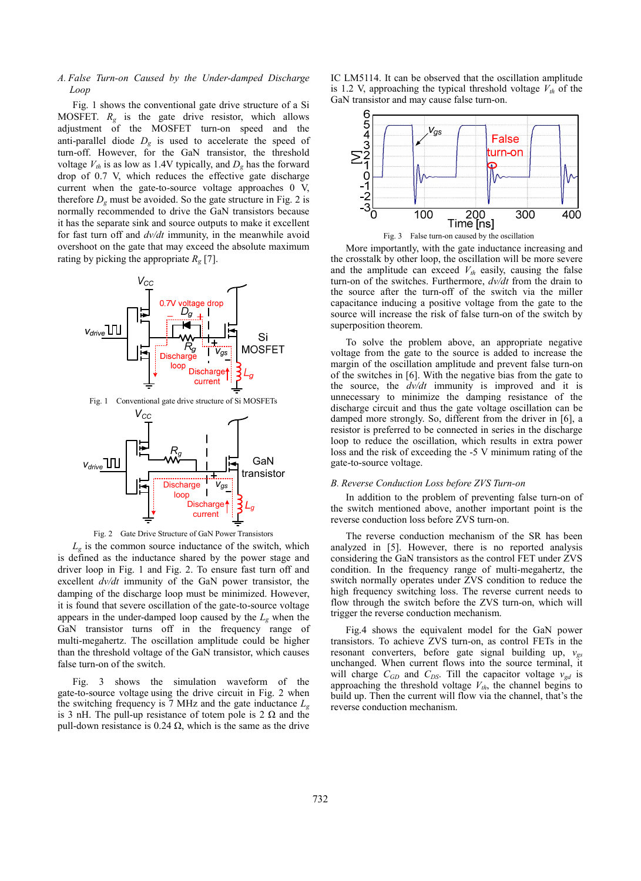# *A. False Turn-on Caused by the Under-damped Discharge Loop*

Fig. 1 shows the conventional gate drive structure of a Si MOSFET.  $R_{\varphi}$  is the gate drive resistor, which allows adjustment of the MOSFET turn-on speed and the anti-parallel diode  $D_g$  is used to accelerate the speed of turn-off. However, for the GaN transistor, the threshold voltage  $V_{th}$  is as low as 1.4V typically, and  $D_g$  has the forward drop of 0.7 V, which reduces the effective gate discharge current when the gate-to-source voltage approaches 0 V, therefore  $D_g$  must be avoided. So the gate structure in Fig. 2 is normally recommended to drive the GaN transistors because it has the separate sink and source outputs to make it excellent for fast turn off and *dv/dt* immunity, in the meanwhile avoid overshoot on the gate that may exceed the absolute maximum rating by picking the appropriate  $R_g$  [7].





 $L_{\varphi}$  is the common source inductance of the switch, which is defined as the inductance shared by the power stage and driver loop in Fig. 1 and Fig. 2. To ensure fast turn off and excellent *dv/dt* immunity of the GaN power transistor, the damping of the discharge loop must be minimized. However, it is found that severe oscillation of the gate-to-source voltage appears in the under-damped loop caused by the *Lg* when the GaN transistor turns off in the frequency range of multi-megahertz. The oscillation amplitude could be higher than the threshold voltage of the GaN transistor, which causes false turn-on of the switch.

Fig. 3 shows the simulation waveform of the gate-to-source voltage using the drive circuit in Fig. 2 when the switching frequency is 7 MHz and the gate inductance *Lg* is 3 nH. The pull-up resistance of totem pole is  $2 \Omega$  and the pull-down resistance is  $0.24 \Omega$ , which is the same as the drive IC LM5114. It can be observed that the oscillation amplitude is 1.2 V, approaching the typical threshold voltage  $V_{th}$  of the GaN transistor and may cause false turn-on.



Fig. 3 False turn-on caused by the oscillation

More importantly, with the gate inductance increasing and the crosstalk by other loop, the oscillation will be more severe and the amplitude can exceed  $V_{th}$  easily, causing the false turn-on of the switches. Furthermore, *dv/dt* from the drain to the source after the turn-off of the switch via the miller capacitance inducing a positive voltage from the gate to the source will increase the risk of false turn-on of the switch by superposition theorem.

To solve the problem above, an appropriate negative voltage from the gate to the source is added to increase the margin of the oscillation amplitude and prevent false turn-on of the switches in [6]. With the negative bias from the gate to the source, the *dv/dt* immunity is improved and it is unnecessary to minimize the damping resistance of the discharge circuit and thus the gate voltage oscillation can be damped more strongly. So, different from the driver in [6], a resistor is preferred to be connected in series in the discharge loop to reduce the oscillation, which results in extra power loss and the risk of exceeding the -5 V minimum rating of the gate-to-source voltage.

#### *B. Reverse Conduction Loss before ZVS Turn-on*

In addition to the problem of preventing false turn-on of the switch mentioned above, another important point is the reverse conduction loss before ZVS turn-on.

The reverse conduction mechanism of the SR has been analyzed in [5]. However, there is no reported analysis considering the GaN transistors as the control FET under ZVS condition. In the frequency range of multi-megahertz, the switch normally operates under ZVS condition to reduce the high frequency switching loss. The reverse current needs to flow through the switch before the ZVS turn-on, which will trigger the reverse conduction mechanism.

Fig.4 shows the equivalent model for the GaN power transistors. To achieve ZVS turn-on, as control FETs in the resonant converters, before gate signal building up, *vgs* unchanged. When current flows into the source terminal, it will charge  $C_{GD}$  and  $C_{DS}$ . Till the capacitor voltage  $v_{gd}$  is approaching the threshold voltage  $V_{th}$ , the channel begins to build up. Then the current will flow via the channel, that's the reverse conduction mechanism.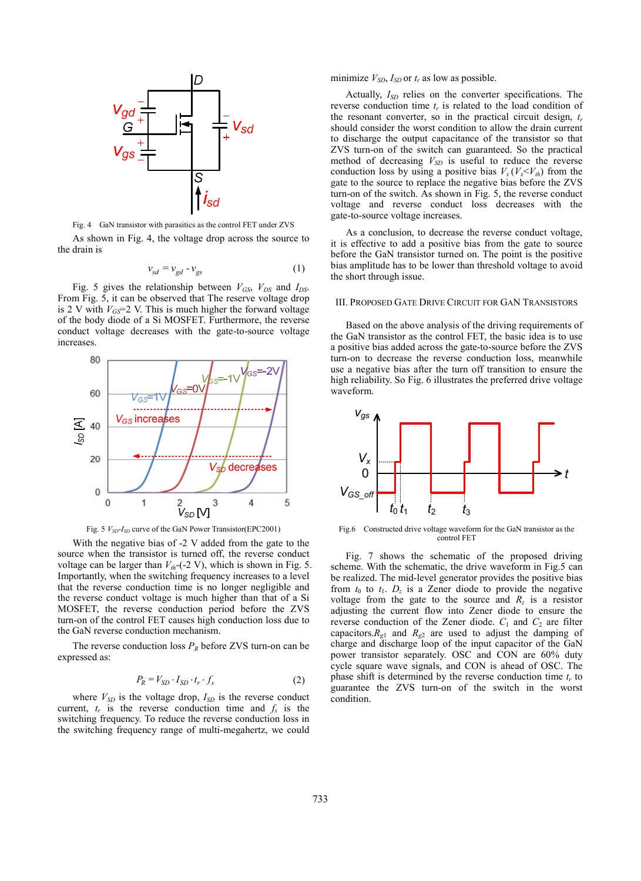

Fig. 4 GaN transistor with parasitics as the control FET under ZVS

As shown in Fig. 4, the voltage drop across the source to the drain is

$$
v_{sd} = v_{gd} - v_{gs} \tag{1}
$$

Fig. 5 gives the relationship between  $V_{GS}$ ,  $V_{DS}$  and  $I_{DS}$ . From Fig. 5, it can be observed that The reserve voltage drop is 2 V with  $V_{GS}$ =2 V. This is much higher the forward voltage of the body diode of a Si MOSFET. Furthermore, the reverse conduct voltage decreases with the gate-to-source voltage increases.





With the negative bias of -2 V added from the gate to the source when the transistor is turned off, the reverse conduct voltage can be larger than  $V_{th}$ -(-2 V), which is shown in Fig. 5. Importantly, when the switching frequency increases to a level that the reverse conduction time is no longer negligible and the reverse conduct voltage is much higher than that of a Si MOSFET, the reverse conduction period before the ZVS turn-on of the control FET causes high conduction loss due to the GaN reverse conduction mechanism.

The reverse conduction loss  $P_R$  before ZVS turn-on can be expressed as:

$$
P_R = V_{SD} \cdot I_{SD} \cdot t_r \cdot f_s \tag{2}
$$

where  $V_{SD}$  is the voltage drop,  $I_{SD}$  is the reverse conduct current,  $t_r$  is the reverse conduction time and  $f_s$  is the switching frequency. To reduce the reverse conduction loss in the switching frequency range of multi-megahertz, we could minimize  $V_{SD}$ ,  $I_{SD}$  or  $t_r$  as low as possible.

Actually,  $I_{SD}$  relies on the converter specifications. The reverse conduction time  $t_r$  is related to the load condition of the resonant converter, so in the practical circuit design,  $t_r$ should consider the worst condition to allow the drain current to discharge the output capacitance of the transistor so that ZVS turn-on of the switch can guaranteed. So the practical method of decreasing  $V_{SD}$  is useful to reduce the reverse conduction loss by using a positive bias  $V_x(V_x \leq V_t)$  from the gate to the source to replace the negative bias before the ZVS turn-on of the switch. As shown in Fig. 5, the reverse conduct voltage and reverse conduct loss decreases with the gate-to-source voltage increases.

As a conclusion, to decrease the reverse conduct voltage, it is effective to add a positive bias from the gate to source before the GaN transistor turned on. The point is the positive bias amplitude has to be lower than threshold voltage to avoid the short through issue.

#### III. PROPOSED GATE DRIVE CIRCUIT FOR GAN TRANSISTORS

Based on the above analysis of the driving requirements of the GaN transistor as the control FET, the basic idea is to use a positive bias added across the gate-to-source before the ZVS turn-on to decrease the reverse conduction loss, meanwhile use a negative bias after the turn off transition to ensure the high reliability. So Fig. 6 illustrates the preferred drive voltage waveform.



Fig.6 Constructed drive voltage waveform for the GaN transistor as the control FET

Fig. 7 shows the schematic of the proposed driving scheme. With the schematic, the drive waveform in Fig.5 can be realized. The mid-level generator provides the positive bias from  $t_0$  to  $t_1$ .  $D_z$  is a Zener diode to provide the negative voltage from the gate to the source and  $R_z$  is a resistor adjusting the current flow into Zener diode to ensure the reverse conduction of the Zener diode.  $C_1$  and  $C_2$  are filter capacitors. $R_{g1}$  and  $R_{g2}$  are used to adjust the damping of charge and discharge loop of the input capacitor of the GaN power transistor separately. OSC and CON are 60% duty cycle square wave signals, and CON is ahead of OSC. The phase shift is determined by the reverse conduction time  $t_r$  to guarantee the ZVS turn-on of the switch in the worst condition.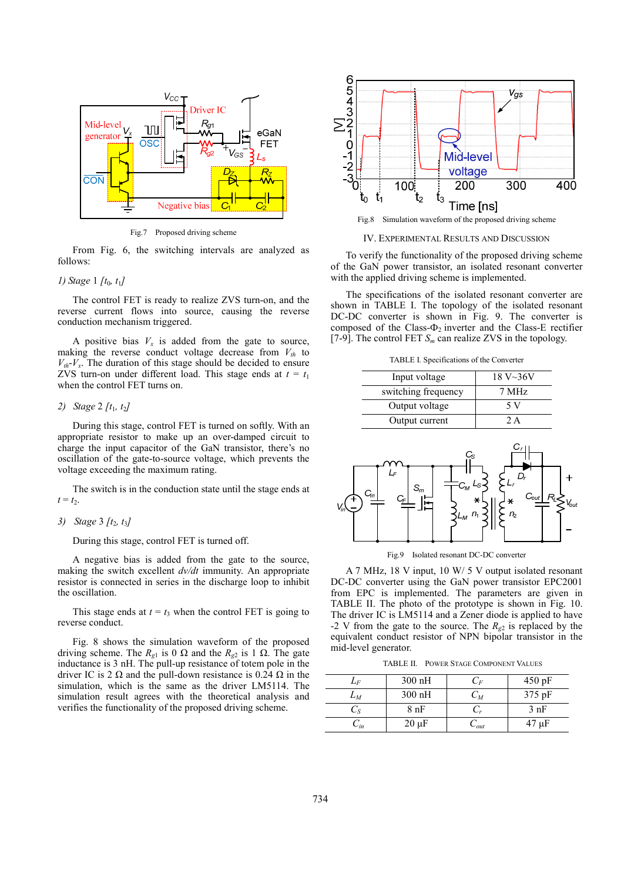

Fig.7 Proposed driving scheme

From Fig. 6, the switching intervals are analyzed as follows:

# *1) Stage* 1 *[t*0*, t*1*]*

The control FET is ready to realize ZVS turn-on, and the reverse current flows into source, causing the reverse conduction mechanism triggered.

A positive bias  $V_x$  is added from the gate to source, making the reverse conduct voltage decrease from  $V_{th}$  to  $V_{th}$ - $V_x$ . The duration of this stage should be decided to ensure ZVS turn-on under different load. This stage ends at  $t = t_1$ when the control FET turns on.

# *2) Stage* 2 *[t*1*, t*2*]*

During this stage, control FET is turned on softly. With an appropriate resistor to make up an over-damped circuit to charge the input capacitor of the GaN transistor, there's no oscillation of the gate-to-source voltage, which prevents the voltage exceeding the maximum rating.

The switch is in the conduction state until the stage ends at  $t = t_2$ .

*3) Stage* 3 *[t*2*, t*3*]* 

During this stage, control FET is turned off.

A negative bias is added from the gate to the source, making the switch excellent *dv/dt* immunity. An appropriate resistor is connected in series in the discharge loop to inhibit the oscillation.

This stage ends at  $t = t_3$  when the control FET is going to reverse conduct.

Fig. 8 shows the simulation waveform of the proposed driving scheme. The  $R_{g1}$  is 0 Ω and the  $R_{g2}$  is 1 Ω. The gate inductance is 3 nH. The pull-up resistance of totem pole in the driver IC is 2 Ω and the pull-down resistance is  $0.24$  Ω in the simulation, which is the same as the driver LM5114. The simulation result agrees with the theoretical analysis and verifies the functionality of the proposed driving scheme.



Fig.8 Simulation waveform of the proposed driving scheme

IV. EXPERIMENTAL RESULTS AND DISCUSSION

To verify the functionality of the proposed driving scheme of the GaN power transistor, an isolated resonant converter with the applied driving scheme is implemented.

The specifications of the isolated resonant converter are shown in TABLE I. The topology of the isolated resonant DC-DC converter is shown in Fig. 9. The converter is composed of the Class- $\Phi_2$  inverter and the Class-E rectifier [7-9]. The control FET  $S_m$  can realize ZVS in the topology.

TABLE I. Specifications of the Converter

| Input voltage       | $18 V - 36 V$ |  |
|---------------------|---------------|--|
| switching frequency | 7 MHz         |  |
| Output voltage      | 5 V           |  |
| Output current      | ) Δ           |  |



Fig.9 Isolated resonant DC-DC converter

A 7 MHz, 18 V input, 10 W/ 5 V output isolated resonant DC-DC converter using the GaN power transistor EPC2001 from EPC is implemented. The parameters are given in TABLE II. The photo of the prototype is shown in Fig. 10. The driver IC is LM5114 and a Zener diode is applied to have -2 V from the gate to the source. The  $R_{g2}$  is replaced by the equivalent conduct resistor of NPN bipolar transistor in the mid-level generator.

TABLE II. POWER STAGE COMPONENT VALUES

| $L_{F}$  | 300 nH          | $\mathsf{L}_F$ | 450 pF           |
|----------|-----------------|----------------|------------------|
| $L_M$    | $300$ nH        | $\cup_M$       | $375 \text{ pF}$ |
| $\cup$ S | 8 <sub>nF</sub> |                | 3 nF             |
| $-$ in   | $20 \mu F$      | $\cup_{out}$   | 47 µF            |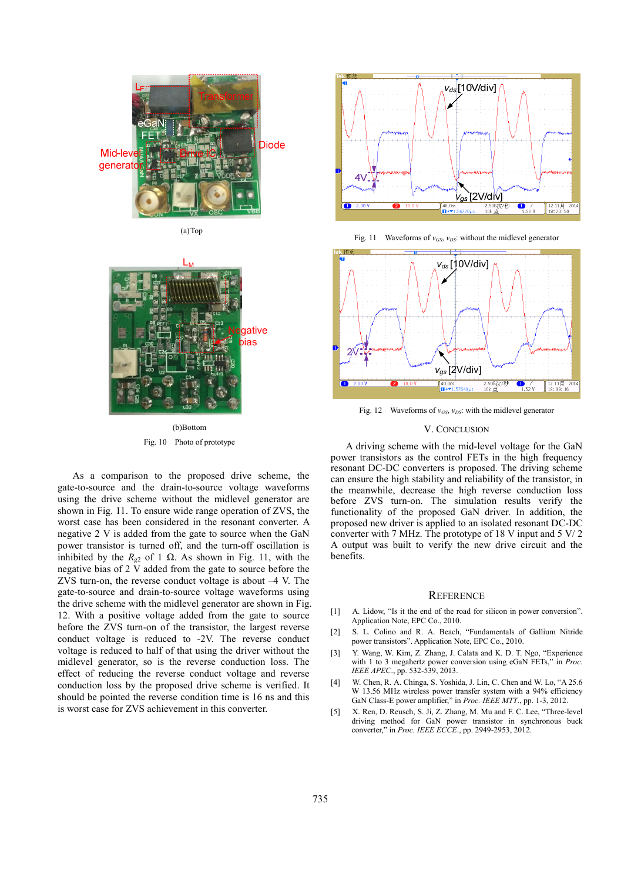

(a)Top



(b)Bottom Fig. 10 Photo of prototype

As a comparison to the proposed drive scheme, the gate-to-source and the drain-to-source voltage waveforms using the drive scheme without the midlevel generator are shown in Fig. 11. To ensure wide range operation of ZVS, the worst case has been considered in the resonant converter. A negative 2 V is added from the gate to source when the GaN power transistor is turned off, and the turn-off oscillation is inhibited by the  $R_{\varphi^2}$  of 1  $\Omega$ . As shown in Fig. 11, with the negative bias of  $2\bar{V}$  added from the gate to source before the ZVS turn-on, the reverse conduct voltage is about –4 V. The gate-to-source and drain-to-source voltage waveforms using the drive scheme with the midlevel generator are shown in Fig. 12. With a positive voltage added from the gate to source before the ZVS turn-on of the transistor, the largest reverse conduct voltage is reduced to -2V. The reverse conduct voltage is reduced to half of that using the driver without the midlevel generator, so is the reverse conduction loss. The effect of reducing the reverse conduct voltage and reverse conduction loss by the proposed drive scheme is verified. It should be pointed the reverse condition time is 16 ns and this is worst case for ZVS achievement in this converter.



Fig. 11 Waveforms of  $v_{GS}$ ,  $v_{DS}$ : without the midlevel generator



Fig. 12 Waveforms of  $v_{GS}$ ,  $v_{DS}$ : with the midlevel generator

# V. CONCLUSION

A driving scheme with the mid-level voltage for the GaN power transistors as the control FETs in the high frequency resonant DC-DC converters is proposed. The driving scheme can ensure the high stability and reliability of the transistor, in the meanwhile, decrease the high reverse conduction loss before ZVS turn-on. The simulation results verify the functionality of the proposed GaN driver. In addition, the proposed new driver is applied to an isolated resonant DC-DC converter with 7 MHz. The prototype of 18 V input and 5 V/ 2 A output was built to verify the new drive circuit and the benefits.

## **REFERENCE**

- [1] A. Lidow, "Is it the end of the road for silicon in power conversion". Application Note, EPC Co., 2010.
- [2] S. L. Colino and R. A. Beach, "Fundamentals of Gallium Nitride power transistors". Application Note, EPC Co., 2010.
- [3] Y. Wang, W. Kim, Z. Zhang, J. Calata and K. D. T. Ngo, "Experience with 1 to 3 megahertz power conversion using eGaN FETs," in *Proc. IEEE APEC*., pp. 532-539, 2013.
- [4] W. Chen, R. A. Chinga, S. Yoshida, J. Lin, C. Chen and W. Lo, "A 25.6 W 13.56 MHz wireless power transfer system with a 94% efficiency GaN Class-E power amplifier," in *Proc. IEEE MTT*., pp. 1-3, 2012.
- [5] X. Ren, D. Reusch, S. Ji, Z. Zhang, M. Mu and F. C. Lee, "Three-level driving method for GaN power transistor in synchronous buck converter," in *Proc. IEEE ECCE*., pp. 2949-2953, 2012.